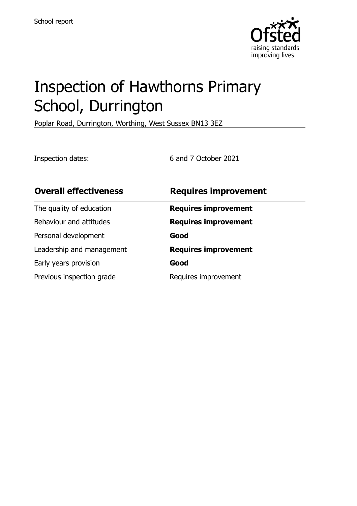

# Inspection of Hawthorns Primary School, Durrington

Poplar Road, Durrington, Worthing, West Sussex BN13 3EZ

Inspection dates: 6 and 7 October 2021

| <b>Overall effectiveness</b> | <b>Requires improvement</b> |
|------------------------------|-----------------------------|
| The quality of education     | <b>Requires improvement</b> |
| Behaviour and attitudes      | <b>Requires improvement</b> |
| Personal development         | Good                        |
| Leadership and management    | <b>Requires improvement</b> |
| Early years provision        | Good                        |
| Previous inspection grade    | Requires improvement        |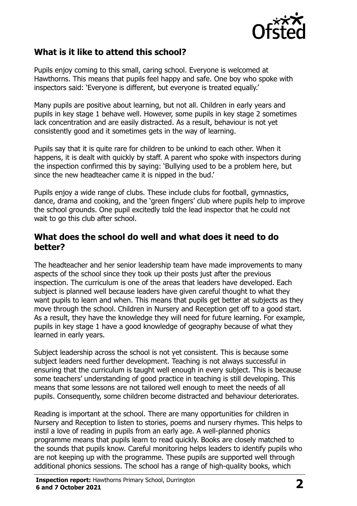

#### **What is it like to attend this school?**

Pupils enjoy coming to this small, caring school. Everyone is welcomed at Hawthorns. This means that pupils feel happy and safe. One boy who spoke with inspectors said: 'Everyone is different, but everyone is treated equally.'

Many pupils are positive about learning, but not all. Children in early years and pupils in key stage 1 behave well. However, some pupils in key stage 2 sometimes lack concentration and are easily distracted. As a result, behaviour is not yet consistently good and it sometimes gets in the way of learning.

Pupils say that it is quite rare for children to be unkind to each other. When it happens, it is dealt with quickly by staff. A parent who spoke with inspectors during the inspection confirmed this by saying: 'Bullying used to be a problem here, but since the new headteacher came it is nipped in the bud.'

Pupils enjoy a wide range of clubs. These include clubs for football, gymnastics, dance, drama and cooking, and the 'green fingers' club where pupils help to improve the school grounds. One pupil excitedly told the lead inspector that he could not wait to go this club after school.

#### **What does the school do well and what does it need to do better?**

The headteacher and her senior leadership team have made improvements to many aspects of the school since they took up their posts just after the previous inspection. The curriculum is one of the areas that leaders have developed. Each subject is planned well because leaders have given careful thought to what they want pupils to learn and when. This means that pupils get better at subjects as they move through the school. Children in Nursery and Reception get off to a good start. As a result, they have the knowledge they will need for future learning. For example, pupils in key stage 1 have a good knowledge of geography because of what they learned in early years.

Subject leadership across the school is not yet consistent. This is because some subject leaders need further development. Teaching is not always successful in ensuring that the curriculum is taught well enough in every subject. This is because some teachers' understanding of good practice in teaching is still developing. This means that some lessons are not tailored well enough to meet the needs of all pupils. Consequently, some children become distracted and behaviour deteriorates.

Reading is important at the school. There are many opportunities for children in Nursery and Reception to listen to stories, poems and nursery rhymes. This helps to instil a love of reading in pupils from an early age. A well-planned phonics programme means that pupils learn to read quickly. Books are closely matched to the sounds that pupils know. Careful monitoring helps leaders to identify pupils who are not keeping up with the programme. These pupils are supported well through additional phonics sessions. The school has a range of high-quality books, which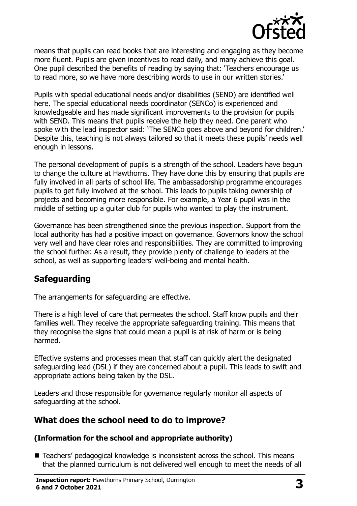

means that pupils can read books that are interesting and engaging as they become more fluent. Pupils are given incentives to read daily, and many achieve this goal. One pupil described the benefits of reading by saying that: 'Teachers encourage us to read more, so we have more describing words to use in our written stories.'

Pupils with special educational needs and/or disabilities (SEND) are identified well here. The special educational needs coordinator (SENCo) is experienced and knowledgeable and has made significant improvements to the provision for pupils with SEND. This means that pupils receive the help they need. One parent who spoke with the lead inspector said: 'The SENCo goes above and beyond for children.' Despite this, teaching is not always tailored so that it meets these pupils' needs well enough in lessons.

The personal development of pupils is a strength of the school. Leaders have begun to change the culture at Hawthorns. They have done this by ensuring that pupils are fully involved in all parts of school life. The ambassadorship programme encourages pupils to get fully involved at the school. This leads to pupils taking ownership of projects and becoming more responsible. For example, a Year 6 pupil was in the middle of setting up a guitar club for pupils who wanted to play the instrument.

Governance has been strengthened since the previous inspection. Support from the local authority has had a positive impact on governance. Governors know the school very well and have clear roles and responsibilities. They are committed to improving the school further. As a result, they provide plenty of challenge to leaders at the school, as well as supporting leaders' well-being and mental health.

## **Safeguarding**

The arrangements for safeguarding are effective.

There is a high level of care that permeates the school. Staff know pupils and their families well. They receive the appropriate safeguarding training. This means that they recognise the signs that could mean a pupil is at risk of harm or is being harmed.

Effective systems and processes mean that staff can quickly alert the designated safeguarding lead (DSL) if they are concerned about a pupil. This leads to swift and appropriate actions being taken by the DSL.

Leaders and those responsible for governance regularly monitor all aspects of safeguarding at the school.

#### **What does the school need to do to improve?**

#### **(Information for the school and appropriate authority)**

■ Teachers' pedagogical knowledge is inconsistent across the school. This means that the planned curriculum is not delivered well enough to meet the needs of all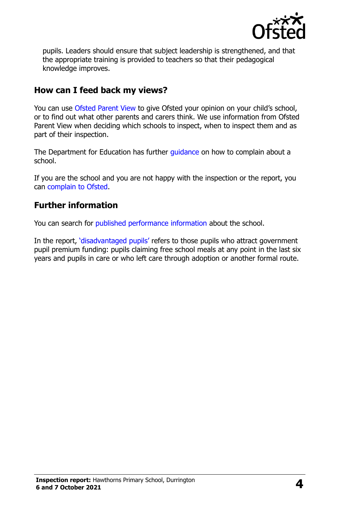

pupils. Leaders should ensure that subject leadership is strengthened, and that the appropriate training is provided to teachers so that their pedagogical knowledge improves.

#### **How can I feed back my views?**

You can use [Ofsted Parent View](http://parentview.ofsted.gov.uk/) to give Ofsted your opinion on your child's school, or to find out what other parents and carers think. We use information from Ofsted Parent View when deciding which schools to inspect, when to inspect them and as part of their inspection.

The Department for Education has further quidance on how to complain about a school.

If you are the school and you are not happy with the inspection or the report, you can [complain to Ofsted.](http://www.gov.uk/complain-ofsted-report)

#### **Further information**

You can search for [published performance information](http://www.compare-school-performance.service.gov.uk/) about the school.

In the report, '[disadvantaged pupils](http://www.gov.uk/guidance/pupil-premium-information-for-schools-and-alternative-provision-settings)' refers to those pupils who attract government pupil premium funding: pupils claiming free school meals at any point in the last six years and pupils in care or who left care through adoption or another formal route.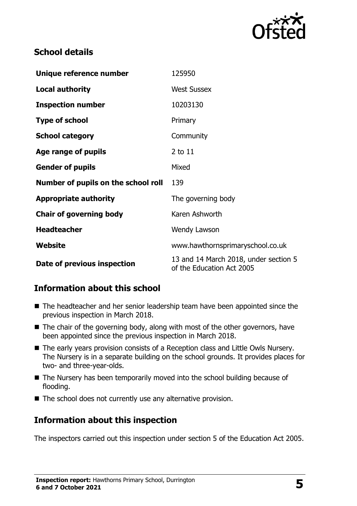

## **School details**

| Unique reference number             | 125950                                                             |
|-------------------------------------|--------------------------------------------------------------------|
| <b>Local authority</b>              | <b>West Sussex</b>                                                 |
| <b>Inspection number</b>            | 10203130                                                           |
| <b>Type of school</b>               | Primary                                                            |
| <b>School category</b>              | Community                                                          |
| Age range of pupils                 | 2 to 11                                                            |
| <b>Gender of pupils</b>             | Mixed                                                              |
| Number of pupils on the school roll | 139                                                                |
| <b>Appropriate authority</b>        | The governing body                                                 |
| <b>Chair of governing body</b>      | Karen Ashworth                                                     |
| <b>Headteacher</b>                  | Wendy Lawson                                                       |
| Website                             | www.hawthornsprimaryschool.co.uk                                   |
| Date of previous inspection         | 13 and 14 March 2018, under section 5<br>of the Education Act 2005 |

## **Information about this school**

- The headteacher and her senior leadership team have been appointed since the previous inspection in March 2018.
- The chair of the governing body, along with most of the other governors, have been appointed since the previous inspection in March 2018.
- The early years provision consists of a Reception class and Little Owls Nursery. The Nursery is in a separate building on the school grounds. It provides places for two- and three-year-olds.
- The Nursery has been temporarily moved into the school building because of flooding.
- $\blacksquare$  The school does not currently use any alternative provision.

## **Information about this inspection**

The inspectors carried out this inspection under section 5 of the Education Act 2005.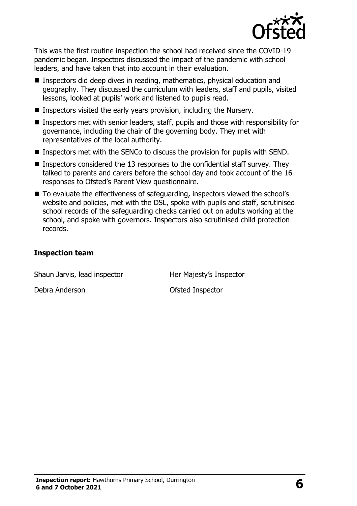

This was the first routine inspection the school had received since the COVID-19 pandemic began. Inspectors discussed the impact of the pandemic with school leaders, and have taken that into account in their evaluation.

- Inspectors did deep dives in reading, mathematics, physical education and geography. They discussed the curriculum with leaders, staff and pupils, visited lessons, looked at pupils' work and listened to pupils read.
- **Inspectors visited the early years provision, including the Nursery.**
- Inspectors met with senior leaders, staff, pupils and those with responsibility for governance, including the chair of the governing body. They met with representatives of the local authority.
- Inspectors met with the SENCo to discuss the provision for pupils with SEND.
- **Inspectors considered the 13 responses to the confidential staff survey. They** talked to parents and carers before the school day and took account of the 16 responses to Ofsted's Parent View questionnaire.
- To evaluate the effectiveness of safeguarding, inspectors viewed the school's website and policies, met with the DSL, spoke with pupils and staff, scrutinised school records of the safeguarding checks carried out on adults working at the school, and spoke with governors. Inspectors also scrutinised child protection records.

#### **Inspection team**

Shaun Jarvis, lead inspector **Her Majesty's Inspector** 

Debra Anderson **Ofsted Inspector**